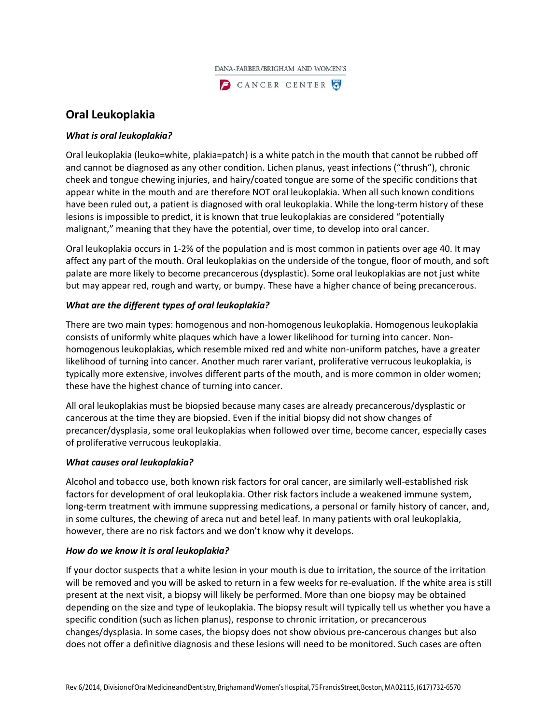

# **Oral Leukoplakia**

# *What is oral leukoplakia?*

Oral leukoplakia (leuko=white, plakia=patch) is a white patch in the mouth that cannot be rubbed off and cannot be diagnosed as any other condition. Lichen planus, yeast infections ("thrush"), chronic cheek and tongue chewing injuries, and hairy/coated tongue are some of the specific conditions that appear white in the mouth and are therefore NOT oral leukoplakia. When all such known conditions have been ruled out, a patient is diagnosed with oral leukoplakia. While the long-term history of these lesions is impossible to predict, it is known that true leukoplakias are considered "potentially malignant," meaning that they have the potential, over time, to develop into oral cancer.

Oral leukoplakia occurs in 1-2% of the population and is most common in patients over age 40. It may affect any part of the mouth. Oral leukoplakias on the underside of the tongue, floor of mouth, and soft palate are more likely to become precancerous (dysplastic). Some oral leukoplakias are not just white but may appear red, rough and warty, or bumpy. These have a higher chance of being precancerous.

## *What are the different types of oral leukoplakia?*

There are two main types: homogenous and non-homogenous leukoplakia. Homogenous leukoplakia consists of uniformly white plaques which have a lower likelihood for turning into cancer. Nonhomogenous leukoplakias, which resemble mixed red and white non-uniform patches, have a greater likelihood of turning into cancer. Another much rarer variant, proliferative verrucous leukoplakia, is typically more extensive, involves different parts of the mouth, and is more common in older women; these have the highest chance of turning into cancer.

All oral leukoplakias must be biopsied because many cases are already precancerous/dysplastic or cancerous at the time they are biopsied. Even if the initial biopsy did not show changes of precancer/dysplasia, some oral leukoplakias when followed over time, become cancer, especially cases of proliferative verrucous leukoplakia.

## *What causes oral leukoplakia?*

Alcohol and tobacco use, both known risk factors for oral cancer, are similarly well-established risk factors for development of oral leukoplakia. Other risk factors include a weakened immune system, long-term treatment with immune suppressing medications, a personal or family history of cancer, and, in some cultures, the chewing of areca nut and betel leaf. In many patients with oral leukoplakia, however, there are no risk factors and we don't know why it develops.

## *How do we know it is oral leukoplakia?*

If your doctor suspects that a white lesion in your mouth is due to irritation, the source of the irritation will be removed and you will be asked to return in a few weeks for re-evaluation. If the white area is still present at the next visit, a biopsy will likely be performed. More than one biopsy may be obtained depending on the size and type of leukoplakia. The biopsy result will typically tell us whether you have a specific condition (such as lichen planus), response to chronic irritation, or precancerous changes/dysplasia. In some cases, the biopsy does not show obvious pre-cancerous changes but also does not offer a definitive diagnosis and these lesions will need to be monitored. Such cases are often